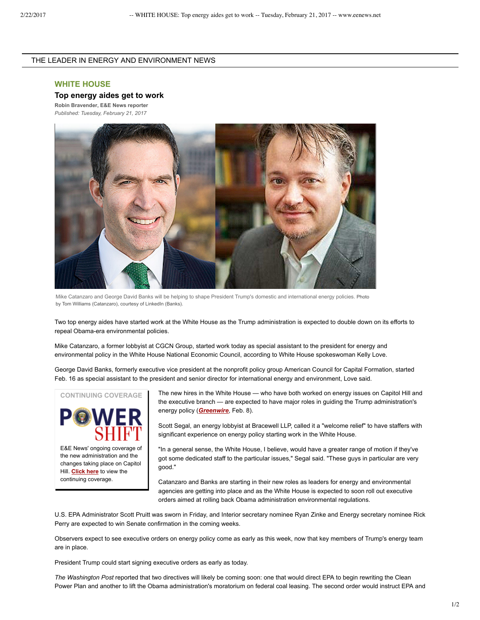## THE LEADER IN ENERGY AND ENVIRONMENT NEWS

## **WHITE HOUSE**

## **Top energy aides get to work**

**[Robin Bravender](http://www.eenews.net.ezproxy.library.wisc.edu/staff/Robin_Bravender), E&E News reporter** *Published: Tuesday, February 21, 2017*



Mike Catanzaro and George David Banks will be helping to shape President Trump's domestic and international energy policies. Photo by Tom Williams (Catanzaro), courtesy of LinkedIn (Banks).

Two top energy aides have started work at the White House as the Trump administration is expected to double down on its efforts to repeal Obama-era environmental policies.

Mike Catanzaro, a former lobbyist at CGCN Group, started work today as special assistant to the president for energy and environmental policy in the White House National Economic Council, according to White House spokeswoman Kelly Love.

George David Banks, formerly executive vice president at the nonprofit policy group American Council for Capital Formation, started Feb. 16 as special assistant to the president and senior director for international energy and environment, Love said.

**CONTINUING COVERAGE**



E&E News' ongoing coverage of the new administration and the changes taking place on Capitol Hill. **[Click here](http://eenews.net/special_reports/powershift)** to view the continuing coverage.

The new hires in the White House — who have both worked on energy issues on Capitol Hill and the executive branch — are expected to have major roles in guiding the Trump administration's energy policy (*[Greenwire](http://www.eenews.net.ezproxy.library.wisc.edu/greenwire/stories/1060049751/)*, Feb. 8).

Scott Segal, an energy lobbyist at Bracewell LLP, called it a "welcome relief" to have staffers with significant experience on energy policy starting work in the White House.

"In a general sense, the White House, I believe, would have a greater range of motion if they've got some dedicated staff to the particular issues," Segal said. "These guys in particular are very good."

Catanzaro and Banks are starting in their new roles as leaders for energy and environmental agencies are getting into place and as the White House is expected to soon roll out executive orders aimed at rolling back Obama administration environmental regulations.

U.S. EPA Administrator Scott Pruitt was sworn in Friday, and Interior secretary nominee Ryan Zinke and Energy secretary nominee Rick Perry are expected to win Senate confirmation in the coming weeks.

Observers expect to see executive orders on energy policy come as early as this week, now that key members of Trump's energy team are in place.

President Trump could start signing executive orders as early as today.

*The Washington Post* reported that two directives will likely be coming soon: one that would direct EPA to begin rewriting the Clean Power Plan and another to lift the Obama administration's moratorium on federal coal leasing. The second order would instruct EPA and